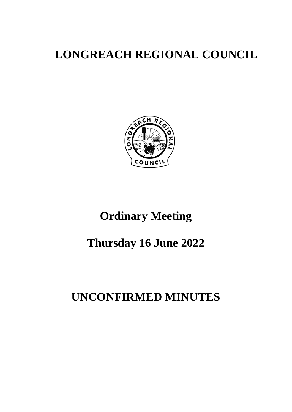# **LONGREACH REGIONAL COUNCIL**



# **Ordinary Meeting**

# **Thursday 16 June 2022**

# **UNCONFIRMED MINUTES**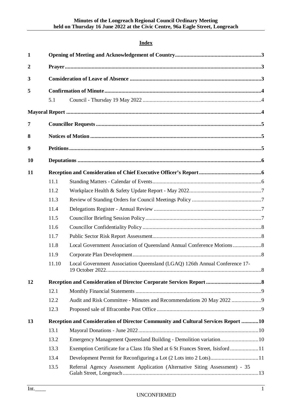# **Index**

| $\mathbf{1}$   |       |                                                                                   |  |  |  |
|----------------|-------|-----------------------------------------------------------------------------------|--|--|--|
| $\overline{2}$ |       |                                                                                   |  |  |  |
| 3              |       |                                                                                   |  |  |  |
| 5              |       |                                                                                   |  |  |  |
|                | 5.1   |                                                                                   |  |  |  |
|                |       |                                                                                   |  |  |  |
|                |       |                                                                                   |  |  |  |
| 7              |       |                                                                                   |  |  |  |
| 8              |       |                                                                                   |  |  |  |
| 9              |       |                                                                                   |  |  |  |
| 10             |       |                                                                                   |  |  |  |
| 11             |       |                                                                                   |  |  |  |
|                | 11.1  |                                                                                   |  |  |  |
|                | 11.2  |                                                                                   |  |  |  |
|                | 11.3  |                                                                                   |  |  |  |
|                | 11.4  |                                                                                   |  |  |  |
|                | 11.5  |                                                                                   |  |  |  |
|                | 11.6  |                                                                                   |  |  |  |
|                | 11.7  |                                                                                   |  |  |  |
|                | 11.8  |                                                                                   |  |  |  |
|                | 11.9  |                                                                                   |  |  |  |
|                | 11.10 | Local Government Association Queensland (LGAQ) 126th Annual Conference 17-        |  |  |  |
| 12             |       |                                                                                   |  |  |  |
|                | 12.1  |                                                                                   |  |  |  |
|                | 12.2  |                                                                                   |  |  |  |
|                | 12.3  |                                                                                   |  |  |  |
| 13             |       | Reception and Consideration of Director Community and Cultural Services Report 10 |  |  |  |
|                | 13.1  |                                                                                   |  |  |  |
|                | 13.2  | Emergency Management Queensland Building - Demolition variation10                 |  |  |  |
|                | 13.3  | Exemption Certificate for a Class 10a Shed at 6 St Frances Street, Isisford11     |  |  |  |
|                | 13.4  | Development Permit for Reconfiguring a Lot (2 Lots into 2 Lots)11                 |  |  |  |
|                | 13.5  | Referral Agency Assessment Application (Alternative Siting Assessment) - 35       |  |  |  |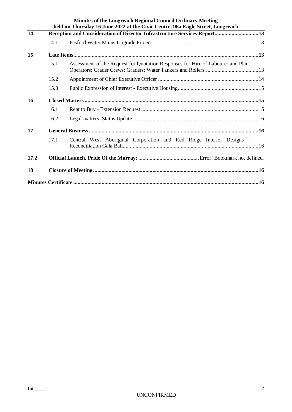|      |                                                                          | <b>Minutes of the Longreach Regional Council Ordinary Meeting</b><br>held on Thursday 16 June 2022 at the Civic Centre, 96a Eagle Street, Longreach |  |
|------|--------------------------------------------------------------------------|-----------------------------------------------------------------------------------------------------------------------------------------------------|--|
| 14   | Reception and Consideration of Director Infrastructure Services Report13 |                                                                                                                                                     |  |
|      | 14.1                                                                     |                                                                                                                                                     |  |
| 15   |                                                                          |                                                                                                                                                     |  |
|      | 15.1                                                                     | Assessment of the Request for Quotation Responses for Hire of Labourer and Plant                                                                    |  |
|      | 15.2                                                                     |                                                                                                                                                     |  |
|      | 15.3                                                                     |                                                                                                                                                     |  |
| 16   |                                                                          |                                                                                                                                                     |  |
|      | 16.1                                                                     |                                                                                                                                                     |  |
|      | 16.2                                                                     |                                                                                                                                                     |  |
| 17   |                                                                          |                                                                                                                                                     |  |
|      | 17.1                                                                     | Central West Aboriginal Corporation and Red Ridge Interior Designs -                                                                                |  |
| 17.2 |                                                                          |                                                                                                                                                     |  |
| 18   |                                                                          |                                                                                                                                                     |  |
|      |                                                                          |                                                                                                                                                     |  |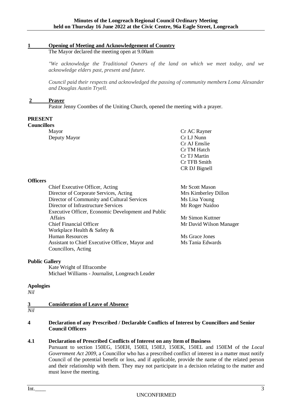#### <span id="page-4-0"></span>**1 Opening of Meeting and Acknowledgement of Country**

The Mayor declared the meeting open at 9.00am

*"We acknowledge the Traditional Owners of the land on which we meet today, and we acknowledge elders past, present and future.*

*Council paid their respects and acknowledged the passing of community members Loma Alexander and Douglas Austin Tryell.*

#### <span id="page-4-1"></span>**2 Prayer**

Pastor Jenny Coombes of the Uniting Church, opened the meeting with a prayer.

#### **PRESENT**

**Councillors**

Deputy Mayor Cr LJ Nunn

Mayor Cr AC Rayner Cr AJ Emslie Cr TM Hatch Cr TJ Martin Cr TFB Smith CR DJ Bignell

#### **Officers**

Chief Executive Officer, Acting Mr Scott Mason Director of Corporate Services, Acting Mrs Kimberley Dillon Director of Community and Cultural Services Ms Lisa Young Director of Infrastructure Services Mr Roger Naidoo Executive Officer, Economic Development and Public Affairs Mr Simon Kuttner Chief Financial Officer The Chief Financial Officer Mr David Wilson Manager Workplace Health & Safety & Human Resources Ms Grace Jones Assistant to Chief Executive Officer, Mayor and Ms Tania Edwards Councillors, Acting

#### **Public Gallery**

Kate Wright of Ilfracombe Michael Williams - Journalist, Longreach Leader

#### **Apologies**

<span id="page-4-2"></span>*Nil*

#### **3 Consideration of Leave of Absence**  $\frac{3}{Nil}$

#### **4 Declaration of any Prescribed / Declarable Conflicts of Interest by Councillors and Senior Council Officers**

#### **4.1 Declaration of Prescribed Conflicts of Interest on any Item of Business**

Pursuant to section 150EG, 150EH, 150EI, 150EJ, 150EK, 150EL and 150EM of the *Local Government Act 2009,* a Councillor who has a prescribed conflict of interest in a matter must notify Council of the potential benefit or loss, and if applicable, provide the name of the related person and their relationship with them. They may not participate in a decision relating to the matter and must leave the meeting.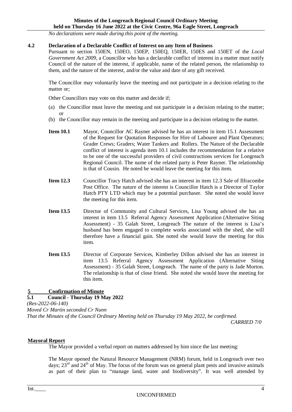*No declarations were made during this point of the meeting.*

#### **4.2 Declaration of a Declarable Conflict of Interest on any Item of Business**

Pursuant to section 150EN, 150EO, 150EP, 150EQ, 150ER, 150ES and 150ET of the *Local Government Act 2009,* a Councillor who has a declarable conflict of interest in a matter must notify Council of the nature of the interest, if applicable, name of the related person, the relationship to them, and the nature of the interest, and/or the value and date of any gift received.

The Councillor may voluntarily leave the meeting and not participate in a decision relating to the matter or;

Other Councillors may vote on this matter and decide if;

- (a) the Councillor must leave the meeting and not participate in a decision relating to the matter; or
- (b) the Councillor may remain in the meeting and participate in a decision relating to the matter.
- **Item 10.1** Mayor, Councillor AC Rayner advised he has an interest in item 15.1 Assessment of the Request for Quotation Responses for Hire of Labourer and Plant Operators; Grader Crews; Graders; Water Tankers and Rollers. The Nature of the Declarable conflict of interest is agenda item 10.1 includes the recommendation for a relative to be one of the successful providers of civil constructions services for Longreach Regional Council. The name of the related party is Peter Rayner. The relationship is that of Cousin. He noted he would leave the meeting for this item.
- **Item 12.3** Councillor Tracy Hatch advised she has an interest in item 12.3 Sale of Ilfracombe Post Office. The nature of the interest is Councillor Hatch is a Director of Taylor Hatch PTY LTD which may be a potential purchaser. She noted she would leave the meeting for this item.
- **Item 13.5** Director of Community and Cultural Services, Lisa Young advised she has an interest in item 13.5 Referral Agency Assessment Application (Alternative Siting Assessment) - 35 Galah Street, Longreach The nature of the interest is Lisa's husband has been engaged to complete works associated with the shed, she will therefore have a financial gain. She noted she would leave the meeting for this item.
- **Item 13.5** Director of Corporate Services, Kimberley Dillon advised she has an interest in item 13.5 Referral Agency Assessment Application (Alternative Siting Assessment) - 35 Galah Street, Longreach. The name of the party is Jade Morton. The relationship is that of close friend. She noted she would leave the meeting for this item.

#### <span id="page-5-0"></span>**5 Confirmation of Minute**

#### <span id="page-5-1"></span>**5.1 Council - Thursday 19 May 2022**

*(Res-2022-06-140)* 

```
Moved Cr Martin seconded Cr Nunn
```
*That the Minutes of the Council Ordinary Meeting held on Thursday 19 May 2022, be confirmed.*

*CARRIED 7/0*

#### <span id="page-5-2"></span>**Mayoral Report**

The Mayor provided a verbal report on matters addressed by him since the last meeting:

The Mayor opened the Natural Resource Management (NRM) forum, held in Longreach over two days;  $23<sup>rd</sup>$  and  $24<sup>th</sup>$  of May. The focus of the forum was on general plant pests and invasive animals as part of their plan to "manage land, water and biodiversity". It was well attended by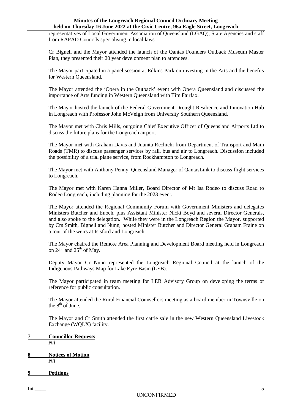representatives of Local Government Association of Queensland (LGAQ), State Agencies and staff from RAPAD Councils specialising in local laws.

Cr Bignell and the Mayor attended the launch of the Qantas Founders Outback Museum Master Plan, they presented their 20 year development plan to attendees.

The Mayor participated in a panel session at Edkins Park on investing in the Arts and the benefits for Western Queensland.

The Mayor attended the 'Opera in the Outback' event with Opera Queensland and discussed the importance of Arts funding in Western Queensland with Tim Fairfax.

The Mayor hosted the launch of the Federal Government Drought Resilience and Innovation Hub in Longreach with Professor John McVeigh from University Southern Queensland.

The Mayor met with Chris Mills, outgoing Chief Executive Officer of Queensland Airports Ltd to discuss the future plans for the Longreach airport.

The Mayor met with Graham Davis and Juanita Rechichi from Department of Transport and Main Roads (TMR) to discuss passenger services by rail, bus and air to Longreach. Discussion included the possibility of a trial plane service, from Rockhampton to Longreach.

The Mayor met with Anthony Penny, Queensland Manager of QantasLink to discuss flight services to Longreach.

The Mayor met with Karen Hanna Miller, Board Director of Mt Isa Rodeo to discuss Road to Rodeo Longreach, including planning for the 2023 event.

The Mayor attended the Regional Community Forum with Government Ministers and delegates Ministers Butcher and Enoch, plus Assistant Minister Nicki Boyd and several Director Generals, and also spoke to the delegation. While they were in the Longreach Region the Mayor, supported by Crs Smith, Bignell and Nunn, hosted Minister Butcher and Director General Graham Fraine on a tour of the weirs at Isisford and Longreach.

The Mayor chaired the Remote Area Planning and Development Board meeting held in Longreach on  $24^{\text{th}}$  and  $25^{\text{th}}$  of May.

Deputy Mayor Cr Nunn represented the Longreach Regional Council at the launch of the Indigenous Pathways Map for Lake Eyre Basin (LEB).

The Mayor participated in team meeting for LEB Advisory Group on developing the terms of reference for public consultation.

The Mayor attended the Rural Financial Counsellors meeting as a board member in Townsville on the  $8<sup>th</sup>$  of June.

The Mayor and Cr Smith attended the first cattle sale in the new Western Queensland Livestock Exchange (WQLX) facility.

<span id="page-6-0"></span>

| 7 | <b>Councillor Requests</b> |
|---|----------------------------|
|   | Nil                        |

<span id="page-6-1"></span>**8 Notices of Motion** *Nil*

<span id="page-6-2"></span>**9 Petitions**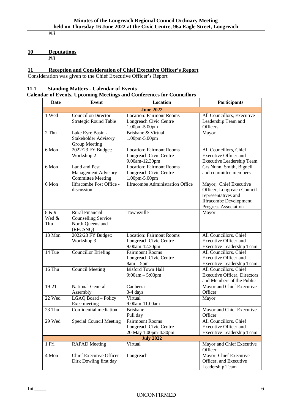*Nil*

# <span id="page-7-0"></span>**10 Deputations**

*Nil*

# <span id="page-7-1"></span>**11 Reception and Consideration of Chief Executive Officer's Report**

Consideration was given to the Chief Executive Officer's Report

### <span id="page-7-2"></span>**11.1 Standing Matters - Calendar of Events**

# **Calendar of Events, Upcoming Meetings and Conferences for Councillors**

| Date                  | Event                                                                                | Location                                                                    | <b>Participants</b>                                                                                                                  |  |  |
|-----------------------|--------------------------------------------------------------------------------------|-----------------------------------------------------------------------------|--------------------------------------------------------------------------------------------------------------------------------------|--|--|
| <b>June 2022</b>      |                                                                                      |                                                                             |                                                                                                                                      |  |  |
| 1 Wed                 | Councillor/Director<br><b>Strategic Round Table</b>                                  | <b>Location: Fairmont Rooms</b><br>Longreach Civic Centre<br>1.00pm-5.00pm  | All Councillors, Executive<br>Leadership Team and<br>Officers                                                                        |  |  |
| 2 Thu                 | Lake Eyre Basin -<br>Stakeholder Advisory<br>Group Meeting                           | Brisbane & Virtual<br>1.00pm-5.00pm                                         | Mayor                                                                                                                                |  |  |
| 6 Mon                 | 2022/23 FY Budget:<br>Workshop 2                                                     | <b>Location: Fairmont Rooms</b><br>Longreach Civic Centre<br>9.00am-12.30pm | All Councillors, Chief<br><b>Executive Officer and</b><br><b>Executive Leadership Team</b>                                           |  |  |
| 6 Mon                 | Land and Pest<br>Management Advisory<br><b>Committee Meeting</b>                     | <b>Location: Fairmont Rooms</b><br>Longreach Civic Centre<br>1.00pm-5.00pm  | Crs Nunn, Smith, Bignell<br>and committee members                                                                                    |  |  |
| 6 Mon                 | Ilfracombe Post Office -<br>discussion                                               | <b>Ilfracombe Administration Office</b>                                     | Mayor, Chief Executive<br>Officer, Longreach Council<br>representatives and<br><b>Ilfracombe Development</b><br>Progress Association |  |  |
| 8 & 9<br>Wed &<br>Thu | <b>Rural Financial</b><br><b>Counselling Service</b><br>North Queensland<br>(RFCSNQ) | Townsville                                                                  | Mayor                                                                                                                                |  |  |
| 13 Mon                | 2022/23 FY Budget:<br>Workshop 3                                                     | <b>Location: Fairmont Rooms</b><br>Longreach Civic Centre<br>9.00am-12.30pm | All Councillors, Chief<br><b>Executive Officer and</b><br><b>Executive Leadership Team</b>                                           |  |  |
| 14 Tue                | <b>Councillor Briefing</b>                                                           | <b>Fairmount Rooms</b><br>Longreach Civic Centre<br>$8am - 5pm$             | All Councillors, Chief<br><b>Executive Officer and</b><br><b>Executive Leadership Team</b>                                           |  |  |
| $16$ Thu              | <b>Council Meeting</b>                                                               | Isisford Town Hall<br>$9:00am - 5:00pm$                                     | All Councillors, Chief<br><b>Executive Officer, Directors</b><br>and Members of the Public                                           |  |  |
| 19-21                 | <b>National General</b><br>Assembly                                                  | Canberra<br>3-4 days                                                        | Mayor and Chief Executive<br>Officer                                                                                                 |  |  |
| 22 Wed                | LGAQ Board - Policy<br>Exec meeting                                                  | Virtual<br>9.00am-11.00am                                                   | Mayor                                                                                                                                |  |  |
| 23 Thu                | Confidential mediation                                                               | <b>Brisbane</b><br>Full day                                                 | Mayor and Chief Executive<br>Officer                                                                                                 |  |  |
| 29 Wed                | <b>Special Council Meeting</b>                                                       | <b>Fairmount Rooms</b><br>Longreach Civic Centre<br>20 May 1.00pm-4.30pm    | All Councillors, Chief<br><b>Executive Officer and</b><br><b>Executive Leadership Team</b>                                           |  |  |
|                       |                                                                                      | <b>July 2022</b>                                                            |                                                                                                                                      |  |  |
| 1 Fri                 | <b>RAPAD</b> Meeting                                                                 | Virtual                                                                     | Mayor and Chief Executive<br>Officer                                                                                                 |  |  |
| 4 Mon                 | <b>Chief Executive Officer</b><br>Dirk Dowling first day                             | Longreach                                                                   | Mayor, Chief Executive<br>Officer, and Executive<br>Leadership Team                                                                  |  |  |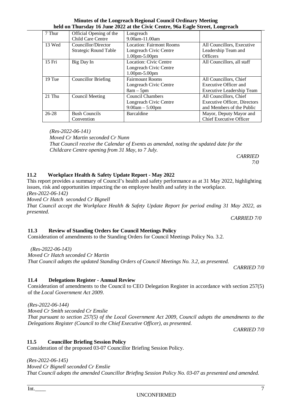| 7 Thur    | Official Opening of the      | Longreach                |                                     |  |
|-----------|------------------------------|--------------------------|-------------------------------------|--|
|           | Child Care Centre            | 9.00am-11.00am           |                                     |  |
| 13 Wed    | Councillor/Director          | Location: Fairmont Rooms | All Councillors, Executive          |  |
|           | <b>Strategic Round Table</b> | Longreach Civic Centre   | Leadership Team and                 |  |
|           |                              | 1.00pm-5.00pm            | <b>Officers</b>                     |  |
| 15 Fri    | Big Day In                   | Location: Civic Centre   | All Councillors, all staff          |  |
|           |                              | Longreach Civic Centre   |                                     |  |
|           |                              | 1.00pm-5.00pm            |                                     |  |
| 19 Tue    | <b>Councillor Briefing</b>   | <b>Fairmount Rooms</b>   | All Councillors, Chief              |  |
|           |                              | Longreach Civic Centre   | Executive Officer and               |  |
|           |                              | $8am - 5pm$              | Executive Leadership Team           |  |
| $21$ Thu  | Council Meeting              | <b>Council Chambers</b>  | All Councillors, Chief              |  |
|           |                              | Longreach Civic Centre   | <b>Executive Officer, Directors</b> |  |
|           |                              | $9:00am - 5:00pm$        | and Members of the Public           |  |
| $26 - 28$ | <b>Bush Councils</b>         | Barcaldine               | Mayor, Deputy Mayor and             |  |
|           | Convention                   |                          | <b>Chief Executive Officer</b>      |  |

*(Res-2022-06-141)*

*Moved Cr Martin seconded Cr Nunn*

*That Council receive the Calendar of Events as amended, noting the updated date for the Childcare Centre opening from 31 May, to 7 July.*

<span id="page-8-0"></span>**11.2 Workplace Health & Safety Update Report - May 2022**

# This report provides a summary of Council's health and safety performance as at 31 May 2022, highlighting issues, risk and opportunities impacting the on employee health and safety in the workplace. *(Res-2022-06-142)*

*Moved Cr Hatch seconded Cr Bignell* 

*That Council accept the Workplace Health & Safety Update Report for period ending 31 May 2022, as presented. CARRIED 7/0*

# <span id="page-8-1"></span>**11.3 Review of Standing Orders for Council Meetings Policy**

Consideration of amendments to the Standing Orders for Council Meetings Policy No. 3.2.

 *(Res-2022-06-143) Moved Cr Hatch seconded Cr Martin That Council adopts the updated Standing Orders of Council Meetings No. 3.2, as presented.*

<span id="page-8-2"></span>**11.4 Delegations Register - Annual Review**

Consideration of amendments to the Council to CEO Delegation Register in accordance with section 257(5) of the *Local Government Act 2009*.

*(Res-2022-06-144)* 

*Moved Cr Smith seconded Cr Emslie*

<span id="page-8-3"></span>**11.5 Councillor Briefing Session Policy**

*That pursuant to section 257(5) of the Local Government Act 2009, Council adopts the amendments to the Delegations Register (Council to the Chief Executive Officer), as presented.*

*CARRIED 7/0*

*(Res-2022-06-145)* 

*Moved Cr Bignell seconded Cr Emslie*

*That Council adopts the amended Councillor Briefing Session Policy No. 03-07 as presented and amended.*

Consideration of the proposed 03-07 Councillor Briefing Session Policy.

*CARRIED 7/0*

*CARRIED 7/0*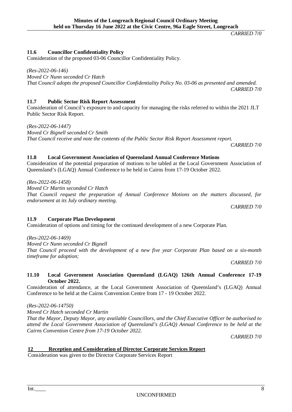# <span id="page-9-0"></span>**11.6 Councillor Confidentiality Policy**

Consideration of the proposed 03-06 Councillor Confidentiality Policy.

*(Res-2022-06-146)* 

*Moved Cr Nunn seconded Cr Hatch* 

*That Council adopts the proposed Councillor Confidentiality Policy No. 03-06 as presented and amended. CARRIED 7/0*

# <span id="page-9-1"></span>**11.7 Public Sector Risk Report Assessment**

Consideration of Council's exposure to and capacity for managing the risks referred to within the 2021 JLT Public Sector Risk Report.

*(Res-2022-06-1447)* 

*Moved Cr Bignell seconded Cr Smith That Council receive and note the contents of the Public Sector Risk Report Assessment report. CARRIED 7/0*

# <span id="page-9-2"></span>**11.8 Local Government Association of Queensland Annual Conference Motions**

Consideration of the potential preparation of motions to be tabled at the Local Government Association of Queensland's (LGAQ) Annual Conference to be held in Cairns from 17-19 October 2022.

*(Res-2022-06-1458)* 

*Moved Cr Martin seconded Cr Hatch* 

*That Council request the preparation of Annual Conference Motions on the matters discussed, for endorsement at its July ordinary meeting.*

*CARRIED 7/0*

#### <span id="page-9-3"></span>**11.9 Corporate Plan Development** Consideration of options and timing for the continued development of a new Corporate Plan.

*(Res-2022-06-1469)* 

*Moved Cr Nunn seconded Cr Bignell* 

*That Council proceed with the development of a new five year Corporate Plan based on a six-month timeframe for adoption;*

*CARRIED 7/0*

### <span id="page-9-4"></span>**11.10 Local Government Association Queensland (LGAQ) 126th Annual Conference 17-19 October 2022.**

Consideration of attendance, at the Local Government Association of Queensland's (LGAQ) Annual Conference to be held at the Cairns Convention Centre from 17 - 19 October 2022.

*(Res-2022-06-14750)* 

*Moved Cr Hatch seconded Cr Martin*

*That the Mayor, Deputy Mayor, any available Councillors, and the Chief Executive Officer be authorised to attend the Local Government Association of Queensland's (LGAQ) Annual Conference to be held at the Cairns Convention Centre from 17-19 October 2022.* 

*CARRIED 7/0*

# <span id="page-9-5"></span>**12 Reception and Consideration of Director Corporate Services Report**

Consideration was given to the Director Corporate Services Report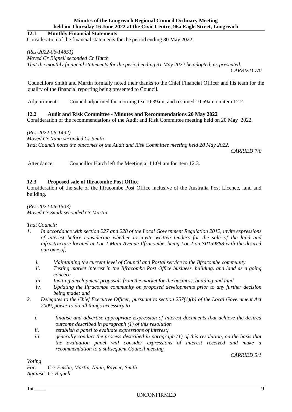#### <span id="page-10-0"></span>**12.1 Monthly Financial Statements**

Consideration of the financial statements for the period ending 30 May 2022.

#### *(Res-2022-06-14851)*

*Moved Cr Bignell seconded Cr Hatch* 

*That the monthly financial statements for the period ending 31 May 2022 be adopted, as presented. CARRIED 7/0*

Councillors Smith and Martin formally noted their thanks to the Chief Financial Officer and his team for the quality of the financial reporting being presented to Council.

Adjournment: Council adjourned for morning tea 10.39am, and resumed 10.59am on item 12.2.

#### <span id="page-10-1"></span>**12.2 Audit and Risk Committee - Minutes and Recommendations 20 May 2022**

Consideration of the recommendations of the Audit and Risk Committee meeting held on 20 May 2022.

#### *(Res-2022-06-1492)*

*Moved Cr Nunn seconded Cr Smith*

*That Council notes the outcomes of the Audit and Risk Committee meeting held 20 May 2022.*

*CARRIED 7/0*

Attendance: Councillor Hatch left the Meeting at 11:04 am for item 12.3.

#### <span id="page-10-2"></span>**12.3 Proposed sale of Ilfracombe Post Office**

Consideration of the sale of the Ilfracombe Post Office inclusive of the Australia Post Licence, land and building.

*(Res-2022-06-1503) Moved Cr Smith seconded Cr Martin* 

#### *That Council:*

- *1. In accordance with section 227 and 228 of the Local Government Regulation 2012, invite expressions of interest before considering whether to invite written tenders for the sale of the land and infrastructure located at Lot 2 Main Avenue Ilfracombe, being Lot 2 on SP159868 with the desired outcome of,*
	- *i. Maintaining the current level of Council and Postal service to the Ilfracombe community*
	- *ii. Testing market interest in the Ilfracombe Post Office business. building. and land as a going concern*
	- *iii. Inviting development proposals from the market for the business, building and land*
	- *iv. Updating the Ilfracombe community on proposed developments prior to any further decision being made; and*
- *2. Delegates to the Chief Executive Officer, pursuant to section 257(1)(b) of the Local Government Act 2009, power to do all things necessary to*
	- *i. finalise and advertise appropriate Expression of Interest documents that achieve the desired outcome described in paragraph (1) of this resolution*
	- *ii. establish a panel to evaluate expressions of interest;*
	- *iii. generally conduct the process described in paragraph (1) of this resolution, on the basis that the evaluation panel will consider expressions of interest received and make a recommendation to a subsequent Council meeting.*

*CARRIED 5/1*

*Voting*

*For: Crs Emslie, Martin, Nunn, Rayner, Smith Against: Cr Bignell*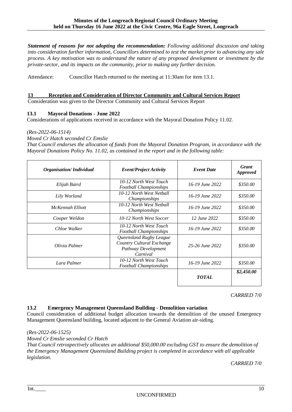*Statement of reasons for not adopting the recommendation: Following additional discussion and taking into consideration further information, Councillors determined to test the market prior to advancing any sale process. A key motivation was to understand the nature of any proposed development or investment by the private-sector, and its impacts on the community, prior to making any further decision.*

Attendance: Councillor Hatch returned to the meeting at 11:30am for item 13.1.

#### <span id="page-11-0"></span>**13 Reception and Consideration of Director Community and Cultural Services Report**

Consideration was given to the Director Community and Cultural Services Report

#### <span id="page-11-1"></span>**13.1 Mayoral Donations - June 2022**

Considerations of applications received in accordance with the Mayoral Donation Policy 11.02.

#### *(Res-2022-06-1514)*

*Moved Cr Hatch seconded Cr Emslie*

*That Council endorses the allocation of funds from the Mayoral Donation Program, in accordance with the Mayoral Donations Policy No. 11.02, as contained in the report and in the following table:*

| <b>Organisation/Individual</b> | <b>Event/Project Activity</b>                                                           | <b>Event Date</b>   | <b>Grant</b><br><b>Approved</b> |
|--------------------------------|-----------------------------------------------------------------------------------------|---------------------|---------------------------------|
| Elijah Baird                   | 10-12 North West Touch<br><b>Football Championships</b>                                 | 16-19 June 2022     | \$350.00                        |
| Lily Worland                   | 10-12 North West Netball<br>Championships                                               | $16 - 19$ June 2022 | \$350.00                        |
| McKennah Elliott               | 10-12 North West Netball<br>Championships                                               | 16-19 June 2022     | \$350.00                        |
| Cooper Weldon                  | 10-12 North West Soccer                                                                 | 12 June 2022        | \$350.00                        |
| Chloe Walker                   | 10-12 North West Touch<br><b>Football Championships</b>                                 | 16-19 June 2022     | \$350.00                        |
| Olivia Palmer                  | Queensland Rugby League<br>Country Cultural Exchange<br>Pathway Development<br>Carnival | 25-26 June 2022     | \$350.00                        |
| Lara Palmer                    | 10-12 North West Touch<br><b>Football Championships</b>                                 | $16 - 19$ June 2022 | \$350.00                        |
|                                |                                                                                         | <b>TOTAL</b>        | \$2,450.00                      |

*CARRIED 7/0*

#### <span id="page-11-2"></span>**13.2 Emergency Management Queensland Building - Demolition variation**

Council consideration of additional budget allocation towards the demolition of the unused Emergency Management Queensland building, located adjacent to the General Aviation air-siding.

*(Res-2022-06-1525)* 

*Moved Cr Emslie seconded Cr Hatch* 

*That Council retrospectively allocates an additional \$50,000.00 excluding GST to ensure the demolition of the Emergency Management Queensland Building project is completed in accordance with all applicable legislation.* 

*CARRIED 7/0*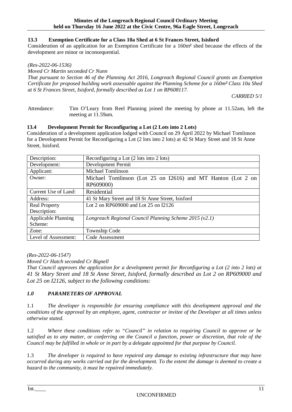### <span id="page-12-0"></span>**13.3 Exemption Certificate for a Class 10a Shed at 6 St Frances Street, Isisford**

Consideration of an application for an Exemption Certificate for a 160m² shed because the effects of the development are minor or inconsequential.

#### *(Res-2022-06-1536)*

*Moved Cr Martin seconded Cr Nunn*

*That pursuant to Section 46 of the Planning Act 2016, Longreach Regional Council grants an Exemption Certificate for proposed building work assessable against the Planning Scheme for a 160m² Class 10a Shed at 6 St Frances Street, Isisford, formally described as Lot 1 on RP608117.*

*CARRIED 5/1*

Attendance: Tim O'Leary from Reel Planning joined the meeting by phone at 11.52am, left the meeting at 11.59am.

#### <span id="page-12-1"></span>**13.4 Development Permit for Reconfiguring a Lot (2 Lots into 2 Lots)**

Consideration of a development application lodged with Council on 29 April 2022 by Michael Tomlinson for a Development Permit for Reconfiguring a Lot (2 lots into 2 lots) at 42 St Mary Street and 18 St Anne Street, Isisford.

| Description:                                                  | Reconfiguring a Lot (2 lots into 2 lots)                                 |  |  |
|---------------------------------------------------------------|--------------------------------------------------------------------------|--|--|
| Development:                                                  | Development Permit                                                       |  |  |
| Applicant:                                                    | <b>Michael Tomlinson</b>                                                 |  |  |
| Owner:                                                        | Michael Tomlinson (Lot 25 on I2616) and MT Hanton (Lot 2 on<br>RP609000) |  |  |
| Current Use of Land:                                          | Residential                                                              |  |  |
| 41 St Mary Street and 18 St Anne Street, Isisford<br>Address: |                                                                          |  |  |
| <b>Real Property</b>                                          | Lot 2 on RP609000 and Lot 25 on I2126                                    |  |  |
| Description:                                                  |                                                                          |  |  |
| <b>Applicable Planning</b>                                    | Longreach Regional Council Planning Scheme $2015(v2.1)$                  |  |  |
| Scheme:                                                       |                                                                          |  |  |
| Zone:                                                         | Township Code                                                            |  |  |
| Level of Assessment:                                          | Code Assessment                                                          |  |  |

*(Res-2022-06-1547)* 

*Moved Cr Hatch seconded Cr Bignell* 

*That Council approves the application for a development permit for Reconfiguring a Lot (2 into 2 lots) at 41 St Mary Street and 18 St Anne Street, Isisford, formally described as Lot 2 on RP609000 and Lot 25 on I2126, subject to the following conditions:*

# *1.0 PARAMETERS OF APPROVAL*

1.1 *The developer is responsible for ensuring compliance with this development approval and the conditions of the approval by an employee, agent, contractor or invitee of the Developer at all times unless otherwise stated.* 

1.2 *Where these conditions refer to "Council" in relation to requiring Council to approve or be satisfied as to any matter, or conferring on the Council a function, power or discretion, that role of the Council may be fulfilled in whole or in part by a delegate appointed for that purpose by Council.*

1.3 *The developer is required to have repaired any damage to existing infrastructure that may have occurred during any works carried out for the development. To the extent the damage is deemed to create a hazard to the community, it must be repaired immediately.*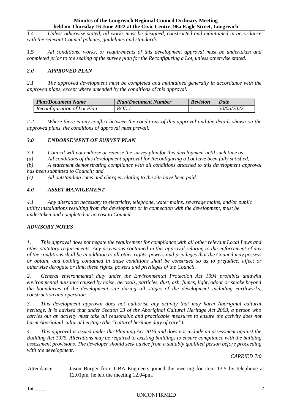1.4 *Unless otherwise stated, all works must be designed, constructed and maintained in accordance with the relevant Council policies, guidelines and standards.* 

1.5 *All conditions, works, or requirements of this development approval must be undertaken and completed prior to the sealing of the survey plan for the Reconfiguring a Lot, unless otherwise stated.* 

#### *2.0 APPROVED PLAN*

*2.1 The approved development must be completed and maintained generally in accordance with the approved plans, except where amended by the conditions of this approval:*

| <b>Plan/Document Name</b>   | <b>Plan/Document Number</b> | <b>Revision</b> | <b>Date</b> |
|-----------------------------|-----------------------------|-----------------|-------------|
| Reconfiguration of Lot Plan | ROL 1                       |                 | 30/05/2022  |

*2.2 Where there is any conflict between the conditions of this approval and the details shown on the approved plans, the conditions of approval must prevail.*

#### *3.0 ENDORSEMENT OF SURVEY PLAN*

*3.1 Council will not endorse or release the survey plan for this development until such time as:*

*(a) All conditions of this development approval for Reconfiguring a Lot have been fully satisfied;* 

*(b) A statement demonstrating compliance with all conditions attached to this development approval* 

*has been submitted to Council; and* 

*(c) All outstanding rates and charges relating to the site have been paid.* 

#### *4.0 ASSET MANAGEMENT*

*4.1 Any alteration necessary to electricity, telephone, water mains, sewerage mains, and/or public utility installations resulting from the development or in connection with the development, must be undertaken and completed at no cost to Council.* 

#### *ADVISORY NOTES*

*1. This approval does not negate the requirement for compliance with all other relevant Local Laws and other statutory requirements. Any provisions contained in this approval relating to the enforcement of any of the conditions shall be in addition to all other rights, powers and privileges that the Council may possess or obtain, and nothing contained in these conditions shall be construed so as to prejudice, affect or otherwise derogate or limit these rights, powers and privileges of the Council.* 

*2. General environmental duty under the Environmental Protection Act 1994 prohibits unlawful environmental nuisance caused by noise, aerosols, particles, dust, ash, fumes, light, odour or smoke beyond the boundaries of the development site during all stages of the development including earthworks, construction and operation.*

*3. This development approval does not authorise any activity that may harm Aboriginal cultural heritage. It is advised that under Section 23 of the Aboriginal Cultural Heritage Act 2003, a person who carries out an activity must take all reasonable and practicable measures to ensure the activity does not harm Aboriginal cultural heritage (the "cultural heritage duty of care").*

*4. This approval is issued under the Planning Act 2016 and does not include an assessment against the Building Act 1975. Alterations may be required to existing buildings to ensure compliance with the building assessment provisions. The developer should seek advice from a suitably qualified person before proceeding with the development.*

*CARRIED 7/0*

Attendance: Jason Burger from GBA Engineers joined the meeting for item 13.5 by telephone at 12.01pm, he left the meeting 12.04pm.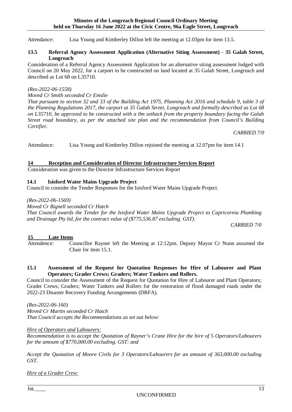Attendance: Lisa Young and Kimberley Dillon left the meeting at 12.03pm for item 13.5.

#### <span id="page-14-0"></span>**13.5 Referral Agency Assessment Application (Alternative Siting Assessment) - 35 Galah Street, Longreach**

Consideration of a Referral Agency Assessment Application for an alternative siting assessment lodged with Council on 20 May 2022, for a carport to be constructed on land located at 35 Galah Street, Longreach and described as Lot 68 on L35710.

#### *(Res-2022-06-1558)*

*Moved Cr Smith seconded Cr Emslie*

*That pursuant to section 32 and 33 of the Building Act 1975, Planning Act 2016 and schedule 9, table 3 of the Planning Regulations 2017, the carport at 35 Galah Street, Longreach and formally described as Lot 68 on L35710, be approved to be constructed with a 0m setback from the property boundary facing the Galah Street road boundary, as per the attached site plan and the recommendation from Council's Building Certifier.*

*CARRIED 7/0*

Attendance: Lisa Young and Kimberley Dillon rejoined the meeting at 12.07pm for item 14.1

#### <span id="page-14-1"></span>**14 Reception and Consideration of Director Infrastructure Services Report**

Consideration was given to the Director Infrastructure Services Report

#### <span id="page-14-2"></span>**14.1 Isisford Water Mains Upgrade Project**

Council to consider the Tender Responses for the Isisford Water Mains Upgrade Project.

*(Res-2022-06-1569)*

*Moved Cr Bignell seconded Cr Hatch* 

*That Council awards the Tender for the Isisford Water Mains Upgrade Project to Capricornia Plumbing and Drainage Pty ltd, for the contract value of (\$775,536.87 excluding. GST).*

*CARRIED 7/0*

#### <span id="page-14-3"></span>**15 Late Items**

Attendence: Councillor Rayner left the Meeting at 12:12pm. Deputy Mayor Cr Nunn assumed the Chair for item 15.1.

#### <span id="page-14-4"></span>**15.1 Assessment of the Request for Quotation Responses for Hire of Labourer and Plant Operators; Grader Crews; Graders; Water Tankers and Rollers.**

Council to consider the Assessment of the Request for Quotation for Hire of Labourer and Plant Operators; Grader Crews; Graders; Water Tankers and Rollers for the restoration of flood damaged roads under the 2022-23 Disaster Recovery Funding Arrangements (DRFA).

*(Res-2022-06-160) Moved Cr Martin seconded Cr Hatch That Council accepts the Recommendations as set out below:*

*Hire of Operators and Labourers:*

*Recommendation is to accept the Quotation of Rayner's Crane Hire for the hire of 5 Operators/Labourers for the amount of \$770,000.00 excluding. GST: and*

*Accept the Quotation of Moore Civils for 3 Operators/Labourers for an amount of 363,000.00 excluding GST.*

*Hire of a Grader Crew:*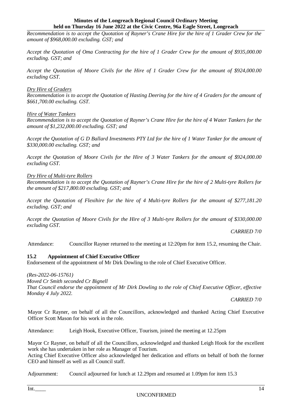*Recommendation is to accept the Quotation of Rayner's Crane Hire for the hire of 1 Grader Crew for the amount of \$968,000.00 excluding. GST; and* 

*Accept the Quotation of Oma Contracting for the hire of 1 Grader Crew for the amount of \$935,000.00 excluding. GST; and*

*Accept the Quotation of Moore Civils for the Hire of 1 Grader Crew for the amount of \$924,000.00 excluding GST.*

#### *Dry Hire of Graders*

*Recommendation is to accept the Quotation of Hasting Deering for the hire of 4 Graders for the amount of \$661,700.00 excluding. GST.*

#### *Hire of Water Tankers*

*Recommendation is to accept the Quotation of Rayner's Crane Hire for the hire of 4 Water Tankers for the amount of \$1,232,000.00 excluding. GST; and* 

*Accept the Quotation of G D Ballard Investments PTY Ltd for the hire of 1 Water Tanker for the amount of \$330,000.00 excluding. GST; and*

*Accept the Quotation of Moore Civils for the Hire of 3 Water Tankers for the amount of \$924,000.00 excluding GST.*

#### *Dry Hire of Multi-tyre Rollers*

*Recommendation is to accept the Quotation of Rayner's Crane Hire for the hire of 2 Multi-tyre Rollers for the amount of \$217,800.00 excluding. GST; and* 

*Accept the Quotation of Flexihire for the hire of 4 Multi-tyre Rollers for the amount of \$277,181.20 excluding. GST; and*

*Accept the Quotation of Moore Civils for the Hire of 3 Multi-tyre Rollers for the amount of \$330,000.00 excluding GST.*

*CARRIED 7/0*

Attendance: Councillor Rayner returned to the meeting at 12:20pm for item 15.2, resuming the Chair.

#### <span id="page-15-0"></span>**15.2 Appointment of Chief Executive Officer**

Endorsement of the appointment of Mr Dirk Dowling to the role of Chief Executive Officer.

*(Res-2022-06-15761)* 

*Moved Cr Smith seconded Cr Bignell* 

*That Council endorse the appointment of Mr Dirk Dowling to the role of Chief Executive Officer, effective Monday 4 July 2022.*

*CARRIED 7/0*

Mayor Cr Rayner, on behalf of all the Councillors, acknowledged and thanked Acting Chief Executive Officer Scott Mason for his work in the role.

Attendance: Leigh Hook, Executive Officer, Tourism, joined the meeting at 12.25pm

Mayor Cr Rayner, on behalf of all the Councillors, acknowledged and thanked Leigh Hook for the excellent work she has undertaken in her role as Manager of Tourism.

Acting Chief Executive Officer also acknowledged her dedication and efforts on behalf of both the former CEO and himself as well as all Council staff.

Adjournment: Council adjourned for lunch at 12.29pm and resumed at 1.09pm for item 15.3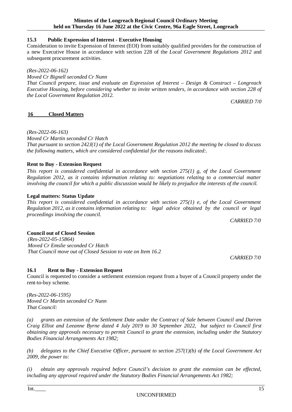#### <span id="page-16-0"></span>**15.3 Public Expression of Interest - Executive Housing**

Consideration to invite Expression of Interest (EOI) from suitably qualified providers for the construction of a new Executive House in accordance with section 228 of the *Local Government Regulations 2012* and subsequent procurement activities.

#### *(Res-2022-06-162)*

*Moved Cr Bignell seconded Cr Nunn*

*That Council prepare, issue and evaluate an Expression of Interest – Design & Construct – Longreach Executive Housing, before considering whether to invite written tenders, in accordance with section 228 of the Local Government Regulation 2012.*

*CARRIED 7/0*

#### <span id="page-16-1"></span>**16 Closed Matters**

*(Res-2022-06-163)* 

*Moved Cr Martin seconded Cr Hatch* 

*That pursuant to section 242J(1) of the Local Government Regulation 2012 the meeting be closed to discuss the following matters, which are considered confidential for the reasons indicated:.*

#### **Rent to Buy - Extension Request**

*This report is considered confidential in accordance with section 275(1) g, of the Local Government Regulation 2012, as it contains information relating to: negotiations relating to a commercial matter involving the council for which a public discussion would be likely to prejudice the interests of the council.*

#### **Legal matters: Status Update**

*This report is considered confidential in accordance with section 275(1) e, of the Local Government Regulation 2012, as it contains information relating to: legal advice obtained by the council or legal proceedings involving the council.*

*CARRIED 7/0*

### **Council out of Closed Session**

*(Res-2022-05-15864) Moved Cr Emslie seconded Cr Hatch That Council move out of Closed Session to vote on Item 16.2*

*CARRIED 7/0*

#### <span id="page-16-2"></span>**16.1 Rent to Buy - Extension Request**

Council is requested to consider a settlement extension request from a buyer of a Council property under the rent-to-buy scheme.

*(Res-2022-06-1595) Moved Cr Martin seconded Cr Nunn That Council:*

*(a) grants an extension of the Settlement Date under the Contract of Sale between Council and Darren Craig Elliot and Leeanne Byrne dated 4 July 2019 to 30 September 2022, but subject to Council first obtaining any approvals necessary to permit Council to grant the extension, including under the Statutory Bodies Financial Arrangements Act 1982;*

*(b) delegates to the Chief Executive Officer, pursuant to section 257(1)(b) of the Local Government Act 2009, the power to:* 

*(i) obtain any approvals required before Council's decision to grant the extension can be effected, including any approval required under the Statutory Bodies Financial Arrangements Act 1982;*